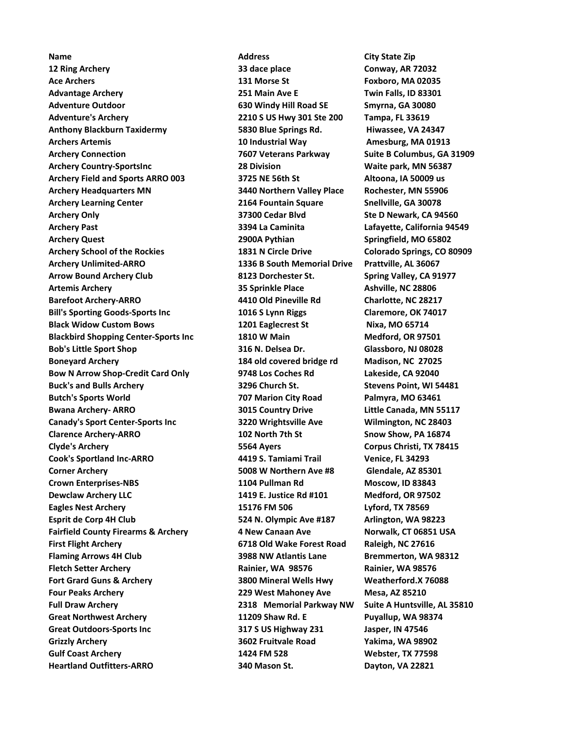Name **Address** City State Zip 12 Ring Archery 33 dace place Conway, AR 72032 Ace Archers **131 Morse St Foxboro, MA 02035** Ace Archers **Foxboro, MA 02035** Advantage Archery **251 Main Ave E** Twin Falls, ID 83301 Adventure Outdoor 630 Windy Hill Road SE Smyrna, GA 30080 Adventure's Archery 2210 S US Hwy 301 Ste 200 Tampa, FL 33619 Anthony Blackburn Taxidermy 5830 Blue Springs Rd. Hiwassee, VA 24347 Archers Artemis 10 Industrial Way Amesburg, MA 01913 Archery Connection **7607 Veterans Parkway** Suite B Columbus, GA 31909 Archery Country-SportsInc **28 Division** 28 Division Waite park, MN 56387 Archery Field and Sports ARRO 003 3725 NE 56th St Altoona, IA 50009 us Archery Headquarters MN 3440 Northern Valley Place Rochester, MN 55906 Archery Learning Center 2164 Fountain Square Snellville, GA 30078 Archery Only **37300 Cedar Blvd** Ste D Newark, CA 94560 Archery Past **1986** Caminita Lafayette, California 94549 Archery Quest **2900A Pythian** Springfield, MO 65802 Archery School of the Rockies 1831 N Circle Drive Colorado Springs, CO 80909 Archery Unlimited-ARRO 1336 B South Memorial Drive Prattville, AL 36067 Arrow Bound Archery Club 8123 Dorchester St. Spring Valley, CA 91977 Artemis Archery **35 Sprinkle Place** Ashville, NC 28806 Barefoot Archery-ARRO 4410 Old Pineville Rd Charlotte, NC 28217 Bill's Sporting Goods-Sports Inc 1016 S Lynn Riggs Claremore, OK 74017 Black Widow Custom Bows **1201 Eaglecrest St** Nixa, MO 65714 Blackbird Shopping Center-Sports Inc 1810 W Main Medford, OR 97501 Bob's Little Sport Shop 316 N. Delsea Dr. Glassboro, NJ 08028 Boneyard Archery 184 old covered bridge rd Madison, NC 27025 Bow N Arrow Shop-Credit Card Only 9748 Los Coches Rd Lakeside, CA 92040 Buck's and Bulls Archery **3296 Church St.** Stevens Point, WI 54481 Butch's Sports World 707 Marion City Road Palmyra, MO 63461 Bwana Archery- ARRO **3015 Country Drive** Little Canada, MN 55117 Canady's Sport Center-Sports Inc 3220 Wrightsville Ave Wilmington, NC 28403 Clarence Archery-ARRO 102 North 7th St Snow Show, PA 16874 Clyde's Archery 5564 Ayers Corpus Christi, TX 78415 Cook's Sportland Inc-ARRO 4419 S. Tamiami Trail Venice, FL 34293 Corner Archery 5008 W Northern Ave #8 Glendale, AZ 85301 Crown Enterprises-NBS 1104 Pullman Rd Moscow, ID 83843 Dewclaw Archery LLC 1419 E. Justice Rd #101 Medford, OR 97502 Eagles Nest Archery 15176 FM 506 Lyford, TX 78569 Esprit de Corp 4H Club 524 N. Olympic Ave #187 Arlington, WA 98223 Fairfield County Firearms & Archery **4 New Canaan Ave Norwalk, CT 06851 USA** First Flight Archery **6718 Old Wake Forest Road Raleigh, NC 27616** Road Raleigh, NC 27616 Flaming Arrows 4H Club 1988 NW Atlantis Lane 3988 NW Atlantis Lane Bremmerton, WA 98312 Fletch Setter Archery **Rainier, WA 98576** Rainier, WA 98576 Fort Grard Guns & Archery 3800 Mineral Wells Hwy Weatherford.X 76088 Four Peaks Archery 229 West Mahoney Ave Mesa, AZ 85210 Full Draw Archery 2318 Memorial Parkway NW Suite A Huntsville, AL 35810 Great Northwest Archery **11209 Shaw Rd. E** Puyallup, WA 98374 Great Outdoors-Sports Inc **317 S US Highway 231** Jasper, IN 47546 Grizzly Archery 3602 Fruitvale Road Yakima, WA 98902 Gulf Coast Archery 1424 FM 528 Webster, TX 77598 Heartland Outfitters-ARRO 340 Mason St. Dayton, VA 22821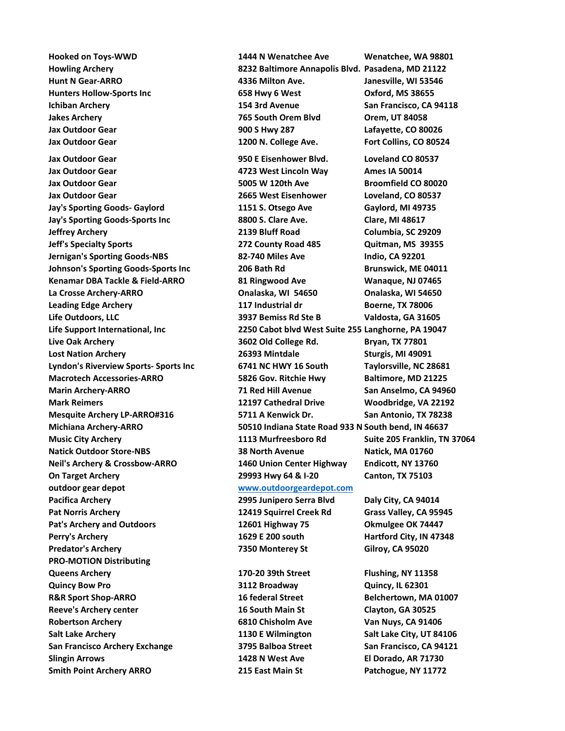outdoor gear depot www.outdoorgeardepot.com Pat Norris Archery **12419 Squirrel Creek Rd** Grass Valley, CA 95945 Pat's Archery and Outdoors 12601 Highway 75 Okmulgee OK 74447 Perry's Archery 1629 E 200 south Hartford City, IN 47348 Predator's Archery **Matters Community Community** 7350 Monterey St **Gilroy, CA 95020** PRO-MOTION Distributing Queens Archery 170-20 39th Street Flushing, NY 11358 Quincy Bow Pro 3112 Broadway Quincy, IL 62301 R&R Sport Shop-ARRO 16 and 16 federal Street 16 and Belchertown, MA 01007 Reeve's Archery center **16 South Main St** Clayton, GA 30525 Robertson Archery 6810 Chisholm Ave Van Nuys, CA 91406 Salt Lake Archery **1130 E Wilmington** Salt Lake City, UT 84106 San Francisco Archery Exchange 3795 Balboa Street San Francisco, CA 94121 Slingin Arrows 1428 N West Ave El Dorado, AR 71730 Smith Point Archery ARRO 215 East Main St Patchogue, NY 11772

Hooked on Toys-WWD 1444 N Wenatchee Ave Wenatchee, WA 98801 Howling Archery 8232 Baltimore Annapolis Blvd. Pasadena, MD 21122 Hunt N Gear-ARRO 4336 Milton Ave. Janesville, WI 53546 Hunters Hollow-Sports Inc 658 Hwy 6 West Oxford, MS 38655 Ichiban Archery **154 3rd Avenue** San Francisco, CA 94118 Jakes Archery 765 South Orem Blvd Orem, UT 84058 Jax Outdoor Gear 900 S Hwy 287 Lafayette, CO 80026 Jax Outdoor Gear 1200 N. College Ave. Fort Collins, CO 80524 Jax Outdoor Gear 950 E Eisenhower Blvd. Loveland CO 80537 Jax Outdoor Gear 4723 West Lincoln Way Ames IA 50014 Jax Outdoor Gear 1980 Controller 10005 W 120th Ave 1000 Broomfield CO 80020 Jax Outdoor Gear 2665 West Eisenhower Loveland, CO 80537 Jay's Sporting Goods- Gaylord 1151 S. Otsego Ave Gaylord, MI 49735 Jay's Sporting Goods-Sports Inc 8800 S. Clare Ave. Clare, MI 48617 Jeffrey Archery 2139 Bluff Road Columbia, SC 29209 Jeff's Specialty Sports 272 County Road 485 Quitman, MS 39355 Jernigan's Sporting Goods-NBS 82-740 Miles Ave Indio, CA 92201 Johnson's Sporting Goods-Sports Inc 206 Bath Rd Brunswick, ME 04011 Kenamar DBA Tackle & Field-ARRO 81 Ringwood Ave Wanaque, NJ 07465 La Crosse Archery-ARRO Onalaska, WI 54650 Onalaska, WI 54650 Leading Edge Archery **117 Industrial dr** Boerne, TX 78006 Life Outdoors, LLC 3937 Bemiss Rd Ste B Valdosta, GA 31605 Life Support International, Inc 2250 Cabot blvd West Suite 255 Langhorne, PA 19047 Live Oak Archery 3602 Old College Rd. Bryan, TX 77801 Lost Nation Archery **26393 Mintdale** Sturgis, MI 49091 Lyndon's Riverview Sports- Sports Inc 6741 NC HWY 16 South Taylorsville, NC 28681 Macrotech Accessories-ARRO 5826 Gov. Ritchie Hwy Baltimore, MD 21225 Marin Archery-ARRO 71 Red Hill Avenue San Anselmo, CA 94960 Mark Reimers 12197 Cathedral Drive Woodbridge, VA 22192 Mesquite Archery LP-ARRO#316 5711 A Kenwick Dr. San Antonio, TX 78238 Michiana Archery-ARRO 50510 Indiana State Road 933 N South bend, IN 46637 Music City Archery 1113 Murfreesboro Rd Suite 205 Franklin, TN 37064 Natick Outdoor Store-NBS 28 North Avenue Natick, MA 01760 Neil's Archery & Crossbow-ARRO 1460 Union Center Highway Endicott, NY 13760 On Target Archery 29993 Hwy 64 & I-20 Canton, TX 75103 Pacifica Archery 2995 Junipero Serra Blvd Daly City, CA 94014